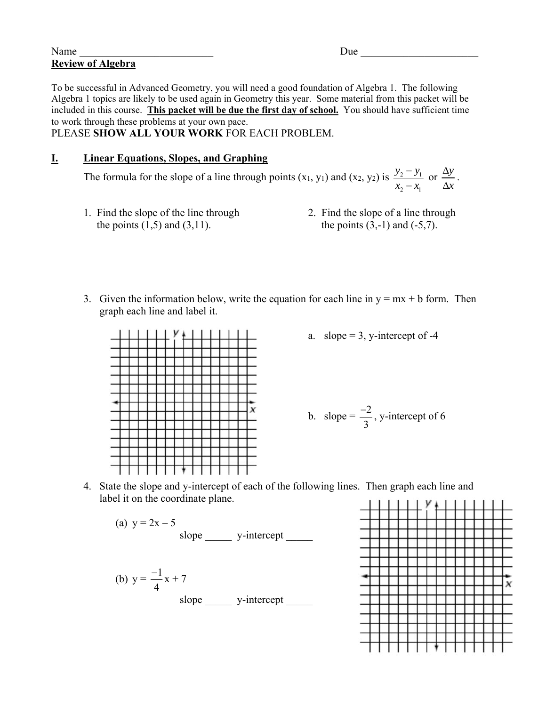## Name Due Louis Communication of the Due Louis Communication of the Due Louis Communication of the Due Louis Communication of the Communication of the Communication of the Communication of the Communication of the Communica **Review of Algebra**

To be successful in Advanced Geometry, you will need a good foundation of Algebra 1. The following Algebra 1 topics are likely to be used again in Geometry this year. Some material from this packet will be included in this course. **This packet will be due the first day of school.** You should have sufficient time to work through these problems at your own pace.

PLEASE **SHOW ALL YOUR WORK** FOR EACH PROBLEM.

## **I. Linear Equations, Slopes, and Graphing**

The formula for the slope of a line through points  $(x_1, y_1)$  and  $(x_2, y_2)$  is  $\frac{y_2 - y_1}{x_2 - x_1}$ 2  $\lambda_1$  $y_2 - y$  $x_2 - x$  $\frac{-y_1}{-x_1}$  or  $\frac{\Delta y}{\Delta x}$  $\frac{\Delta y}{\Delta x}$ .

- the points  $(1,5)$  and  $(3,11)$ . the points  $(3,-1)$  and  $(-5,7)$ .
- 1. Find the slope of the line through 2. Find the slope of a line through
- 3. Given the information below, write the equation for each line in  $y = mx + b$  form. Then graph each line and label it.



a. slope  $= 3$ , y-intercept of -4

b. slope = 
$$
\frac{-2}{3}
$$
, y-intercept of 6

4. State the slope and y-intercept of each of the following lines. Then graph each line and label it on the coordinate plane.

(a) 
$$
y = 2x - 5
$$
  
slope  y-intercept  
(b)  $y = \frac{-1}{4}x + 7$   
slope y-intercept

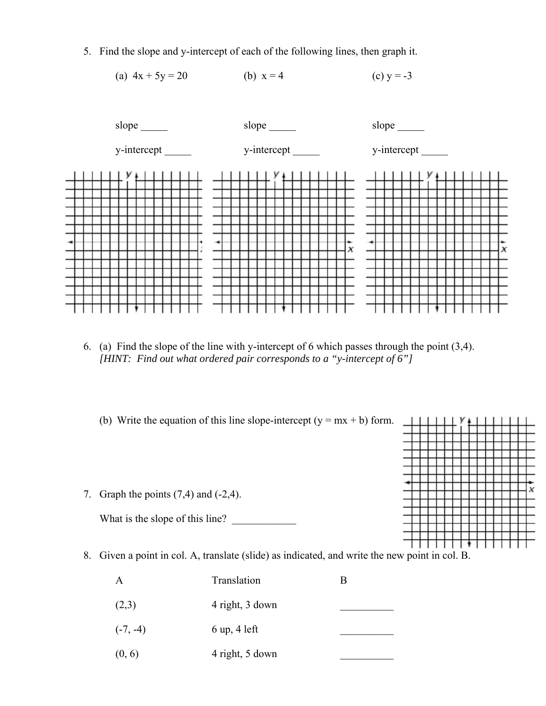5. Find the slope and y-intercept of each of the following lines, then graph it.





- 6. (a) Find the slope of the line with y-intercept of 6 which passes through the point (3,4). *[HINT: Find out what ordered pair corresponds to a "y-intercept of 6"]*
	- (b) Write the equation of this line slope-intercept  $(y = mx + b)$  form.
- 7. Graph the points  $(7,4)$  and  $(-2,4)$ .

What is the slope of this line?

- y **X**
- 8. Given a point in col. A, translate (slide) as indicated, and write the new point in col. B.

| $\mathbf{A}$ | Translation                    |  |
|--------------|--------------------------------|--|
| (2,3)        | 4 right, 3 down                |  |
| $(-7, -4)$   | $6 \text{ up}, 4 \text{ left}$ |  |
| (0, 6)       | 4 right, 5 down                |  |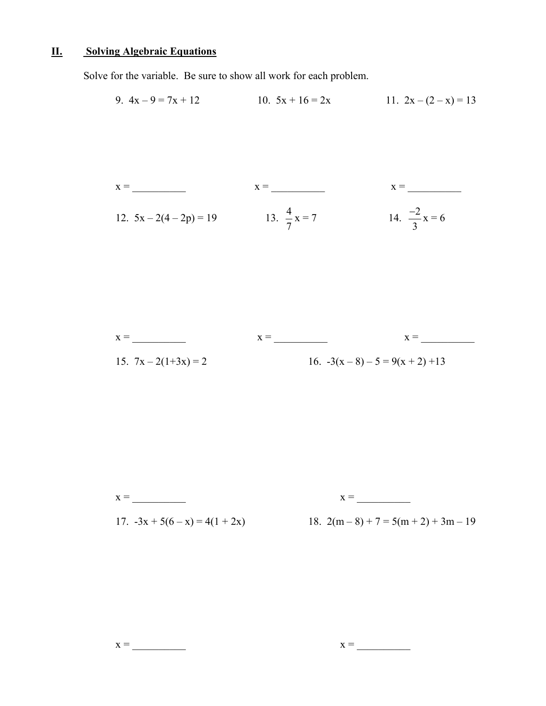## **II. Solving Algebraic Equations**

Solve for the variable. Be sure to show all work for each problem.

9. 
$$
4x - 9 = 7x + 12
$$
  
10.  $5x + 16 = 2x$   
11.  $2x - (2 - x) = 13$ 

$$
x = \frac{x}{\sqrt{3} - 2(4 - 2p)} = 19
$$
\n
$$
x = \frac{x}{\sqrt{3} - 2(4 - 2p)} = 19
$$
\n
$$
x = \frac{x}{\sqrt{3} - 2(4 - 2p)} = 19
$$
\n
$$
x = \frac{12}{\sqrt{3} - 2(4 - 2p)} = 19
$$
\n
$$
x = \frac{12}{\sqrt{3} - 2(4 - 2p)} = 19
$$

$$
x = \frac{x}{15. \ 7x - 2(1+3x)} = 2
$$
\n
$$
x = \frac{x}{16. \ -3(x-8) - 5} = 9(x+2) + 13
$$

$$
x = \underline{\hspace{2cm}}
$$

 $x = \overline{\qquad \qquad }$ 

17.  $-3x + 5(6 - x) = 4(1 + 2x)$  18.  $2(m-8) + 7 = 5(m+2) + 3m - 19$ 

$$
x = \underline{\hspace{2cm}} \qquad \qquad x = \underline{\hspace{2cm}} \qquad \qquad x = \underline{\hspace{2cm}} \qquad \qquad x = \underline{\hspace{2cm}} \qquad \qquad x = \underline{\hspace{2cm}} \qquad \qquad x = \underline{\hspace{2cm}} \qquad \qquad x = \underline{\hspace{2cm}} \qquad \qquad x = \underline{\hspace{2cm}} \qquad \qquad x = \underline{\hspace{2cm}} \qquad \qquad x = \underline{\hspace{2cm}} \qquad \qquad x = \underline{\hspace{2cm}} \qquad \qquad x = \underline{\hspace{2cm}} \qquad \qquad x = \underline{\hspace{2cm}} \qquad \qquad x = \underline{\hspace{2cm}} \qquad \qquad x = \underline{\hspace{2cm}} \qquad \qquad x = \underline{\hspace{2cm}} \qquad \qquad x = \underline{\hspace{2cm}} \qquad \qquad x = \underline{\hspace{2cm}} \qquad \qquad x = \underline{\hspace{2cm}} \qquad \qquad x = \underline{\hspace{2cm}} \qquad \qquad x = \underline{\hspace{2cm}} \qquad \qquad x = \underline{\hspace{2cm}} \qquad x = \underline{\hspace{2cm}} \qquad x = \underline{\hspace{2cm}} \qquad x = \underline{\hspace{2cm}} \qquad x = \underline{\hspace{2cm}} \qquad x = \underline{\hspace{2cm}} \qquad x = \underline{\hspace{2cm}} \qquad x = \underline{\hspace{2cm}} \qquad x = \underline{\hspace{2cm}} \qquad x = \underline{\hspace{2cm}} \qquad x = \underline{\hspace{2cm}} \qquad x = \underline{\hspace{2cm}} \qquad x = \underline{\hspace{2cm}} \qquad x = \underline{\hspace{2cm}} \qquad x = \underline{\hspace{2cm}} \qquad x = \underline{\hspace{2cm}} \qquad x = \underline{\hspace{2cm}} \qquad x = \underline{\hspace{2cm}} \qquad x = \underline{\hspace{2cm}} \qquad x = \underline{\hspace{2cm}} \qquad x = \underline{\hspace{2cm}} \qquad x = \underline{\hspace{2cm}} \qquad x = \underline{\hspace{2cm}} \qquad x = \underline{\hspace{2cm}} \qquad x = \underline{\hspace{2cm}} \qquad x = \underline{\hspace{2cm}} \qquad x = \underline{\hspace{2cm}} \qquad x = \underline{\hspace{2cm}} \qquad x = \underline{\hspace{2cm
$$